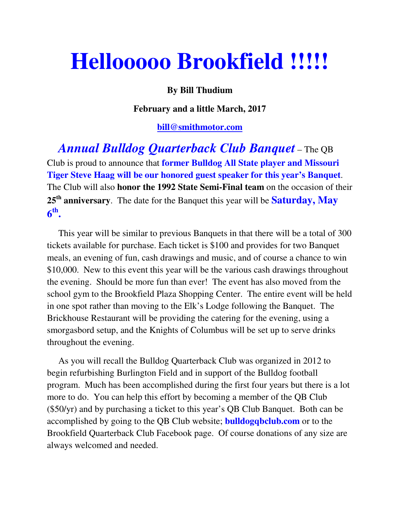## **Hellooooo Brookfield !!!!!**

## **By Bill Thudium**

**February and a little March, 2017** 

## **bill@smithmotor.com**

 *Annual Bulldog Quarterback Club Banquet* – The QB Club is proud to announce that **former Bulldog All State player and Missouri Tiger Steve Haag will be our honored guest speaker for this year's Banquet**. The Club will also **honor the 1992 State Semi-Final team** on the occasion of their **25th anniversary**. The date for the Banquet this year will be **Saturday, May 6 th .**

 This year will be similar to previous Banquets in that there will be a total of 300 tickets available for purchase. Each ticket is \$100 and provides for two Banquet meals, an evening of fun, cash drawings and music, and of course a chance to win \$10,000. New to this event this year will be the various cash drawings throughout the evening. Should be more fun than ever! The event has also moved from the school gym to the Brookfield Plaza Shopping Center. The entire event will be held in one spot rather than moving to the Elk's Lodge following the Banquet. The Brickhouse Restaurant will be providing the catering for the evening, using a smorgasbord setup, and the Knights of Columbus will be set up to serve drinks throughout the evening.

 As you will recall the Bulldog Quarterback Club was organized in 2012 to begin refurbishing Burlington Field and in support of the Bulldog football program. Much has been accomplished during the first four years but there is a lot more to do. You can help this effort by becoming a member of the QB Club (\$50/yr) and by purchasing a ticket to this year's QB Club Banquet. Both can be accomplished by going to the QB Club website; **bulldogqbclub.com** or to the Brookfield Quarterback Club Facebook page. Of course donations of any size are always welcomed and needed.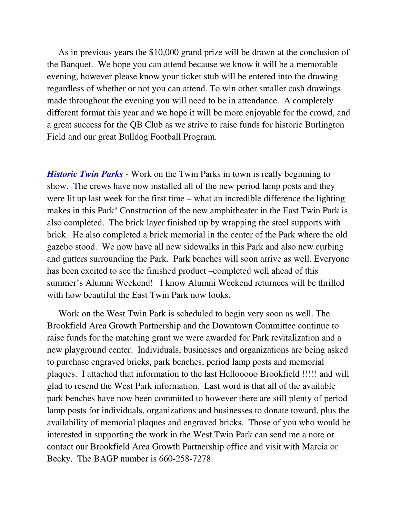As in previous years the \$10,000 grand prize will be drawn at the conclusion of the Banquet. We hope you can attend because we know it will be a memorable evening, however please know your ticket stub will be entered into the drawing regardless of whether or not you can attend. To win other smaller cash drawings made throughout the evening you will need to be in attendance. A completely different format this year and we hope it will be more enjoyable for the crowd, and a great success for the QB Club as we strive to raise funds for historic Burlington Field and our great Bulldog Football Program.

*Historic Twin Parks* - Work on the Twin Parks in town is really beginning to show. The crews have now installed all of the new period lamp posts and they were lit up last week for the first time – what an incredible difference the lighting makes in this Park! Construction of the new amphitheater in the East Twin Park is also completed. The brick layer finished up by wrapping the steel supports with brick. He also completed a brick memorial in the center of the Park where the old gazebo stood. We now have all new sidewalks in this Park and also new curbing and gutters surrounding the Park. Park benches will soon arrive as well. Everyone has been excited to see the finished product –completed well ahead of this summer's Alumni Weekend! I know Alumni Weekend returnees will be thrilled with how beautiful the East Twin Park now looks.

 Work on the West Twin Park is scheduled to begin very soon as well. The Brookfield Area Growth Partnership and the Downtown Committee continue to raise funds for the matching grant we were awarded for Park revitalization and a new playground center. Individuals, businesses and organizations are being asked to purchase engraved bricks, park benches, period lamp posts and memorial plaques. I attached that information to the last Hellooooo Brookfield !!!!! and will glad to resend the West Park information. Last word is that all of the available park benches have now been committed to however there are still plenty of period lamp posts for individuals, organizations and businesses to donate toward, plus the availability of memorial plaques and engraved bricks. Those of you who would be interested in supporting the work in the West Twin Park can send me a note or contact our Brookfield Area Growth Partnership office and visit with Marcia or Becky. The BAGP number is 660-258-7278.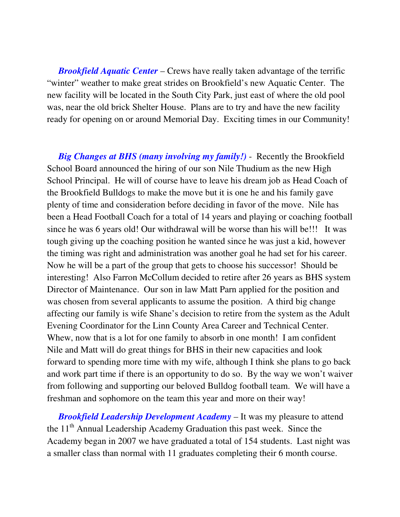*Brookfield Aquatic Center* – Crews have really taken advantage of the terrific "winter" weather to make great strides on Brookfield's new Aquatic Center. The new facility will be located in the South City Park, just east of where the old pool was, near the old brick Shelter House. Plans are to try and have the new facility ready for opening on or around Memorial Day. Exciting times in our Community!

 *Big Changes at BHS (many involving my family!)* - Recently the Brookfield School Board announced the hiring of our son Nile Thudium as the new High School Principal. He will of course have to leave his dream job as Head Coach of the Brookfield Bulldogs to make the move but it is one he and his family gave plenty of time and consideration before deciding in favor of the move. Nile has been a Head Football Coach for a total of 14 years and playing or coaching football since he was 6 years old! Our withdrawal will be worse than his will be!!! It was tough giving up the coaching position he wanted since he was just a kid, however the timing was right and administration was another goal he had set for his career. Now he will be a part of the group that gets to choose his successor! Should be interesting! Also Farron McCollum decided to retire after 26 years as BHS system Director of Maintenance. Our son in law Matt Parn applied for the position and was chosen from several applicants to assume the position. A third big change affecting our family is wife Shane's decision to retire from the system as the Adult Evening Coordinator for the Linn County Area Career and Technical Center. Whew, now that is a lot for one family to absorb in one month! I am confident Nile and Matt will do great things for BHS in their new capacities and look forward to spending more time with my wife, although I think she plans to go back and work part time if there is an opportunity to do so. By the way we won't waiver from following and supporting our beloved Bulldog football team. We will have a freshman and sophomore on the team this year and more on their way!

 *Brookfield Leadership Development Academy* – It was my pleasure to attend the 11<sup>th</sup> Annual Leadership Academy Graduation this past week. Since the Academy began in 2007 we have graduated a total of 154 students. Last night was a smaller class than normal with 11 graduates completing their 6 month course.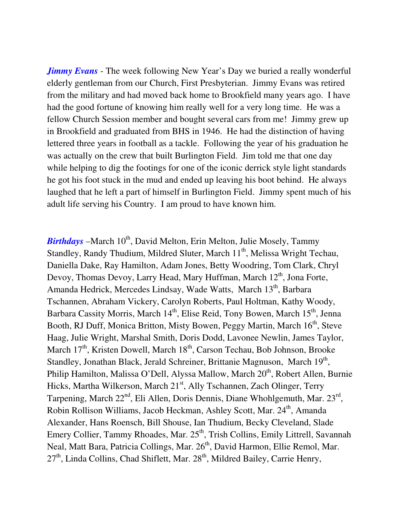*Jimmy Evans* - The week following New Year's Day we buried a really wonderful elderly gentleman from our Church, First Presbyterian. Jimmy Evans was retired from the military and had moved back home to Brookfield many years ago. I have had the good fortune of knowing him really well for a very long time. He was a fellow Church Session member and bought several cars from me! Jimmy grew up in Brookfield and graduated from BHS in 1946. He had the distinction of having lettered three years in football as a tackle. Following the year of his graduation he was actually on the crew that built Burlington Field. Jim told me that one day while helping to dig the footings for one of the iconic derrick style light standards he got his foot stuck in the mud and ended up leaving his boot behind. He always laughed that he left a part of himself in Burlington Field. Jimmy spent much of his adult life serving his Country. I am proud to have known him.

*Birthdays* – March 10<sup>th</sup>, David Melton, Erin Melton, Julie Mosely, Tammy Standley, Randy Thudium, Mildred Sluter, March 11<sup>th</sup>, Melissa Wright Techau, Daniella Dake, Ray Hamilton, Adam Jones, Betty Woodring, Tom Clark, Chryl Devoy, Thomas Devoy, Larry Head, Mary Huffman, March 12<sup>th</sup>, Jona Forte, Amanda Hedrick, Mercedes Lindsay, Wade Watts, March 13<sup>th</sup>, Barbara Tschannen, Abraham Vickery, Carolyn Roberts, Paul Holtman, Kathy Woody, Barbara Cassity Morris, March  $14<sup>th</sup>$ , Elise Reid, Tony Bowen, March  $15<sup>th</sup>$ , Jenna Booth, RJ Duff, Monica Britton, Misty Bowen, Peggy Martin, March 16<sup>th</sup>, Steve Haag, Julie Wright, Marshal Smith, Doris Dodd, Lavonee Newlin, James Taylor, March  $17<sup>th</sup>$ , Kristen Dowell, March  $18<sup>th</sup>$ , Carson Techau, Bob Johnson, Brooke Standley, Jonathan Black, Jerald Schreiner, Brittanie Magnuson, March 19<sup>th</sup>, Philip Hamilton, Malissa O'Dell, Alyssa Mallow, March 20<sup>th</sup>, Robert Allen, Burnie Hicks, Martha Wilkerson, March 21<sup>st</sup>, Ally Tschannen, Zach Olinger, Terry Tarpening, March  $22<sup>nd</sup>$ , Eli Allen, Doris Dennis, Diane Whohlgemuth, Mar.  $23<sup>rd</sup>$ , Robin Rollison Williams, Jacob Heckman, Ashley Scott, Mar. 24<sup>th</sup>, Amanda Alexander, Hans Roensch, Bill Shouse, Ian Thudium, Becky Cleveland, Slade Emery Collier, Tammy Rhoades, Mar.  $25<sup>th</sup>$ , Trish Collins, Emily Littrell, Savannah Neal, Matt Bara, Patricia Collings, Mar. 26<sup>th</sup>, David Harmon, Ellie Remol, Mar. 27<sup>th</sup>, Linda Collins, Chad Shiflett, Mar. 28<sup>th</sup>, Mildred Bailey, Carrie Henry,